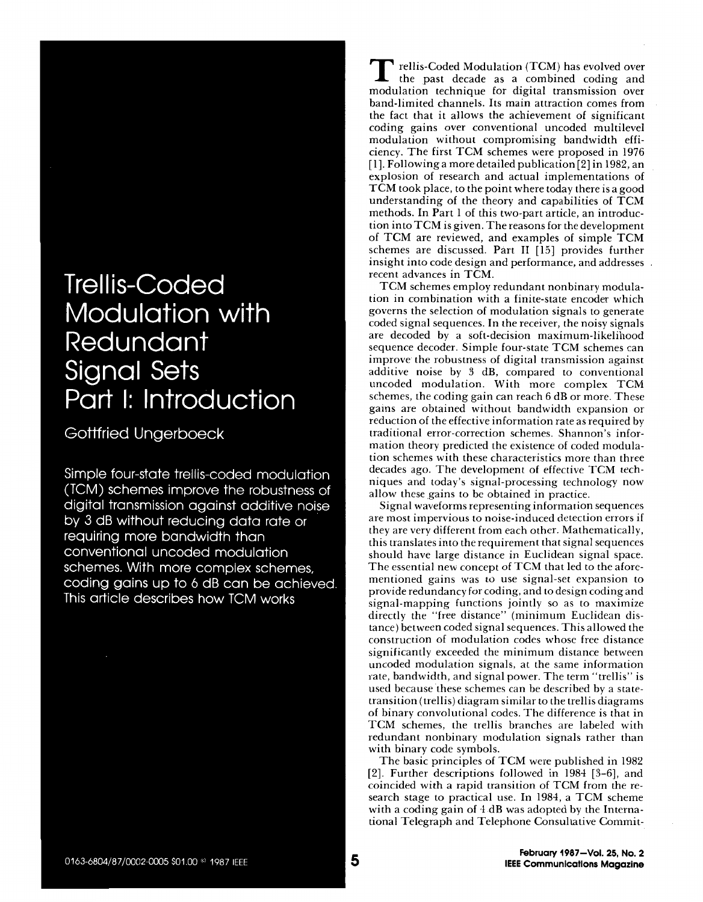# **Trellis-Coded** Modulation with Redundant **Signal Sets** Part I: Introduction

Gottfried Ungerboeck

Simple four-state trellis-coded modulation (TCM) schemes improve the robustness of digital transmission against additive noise by 3 dB without reducing data rate or requiring more bandwidth than conventional uncoded modulation schemes. With more complex schemes, coding gains up to 6 dB can be achieved. This article describes how TCM works

T rellis-Coded Modulation (TCM) has evolved over<br>the past decade as a combined coding and modulation technique for digital transmission over band-limited channels. Its main attraction comes from the fact that it allows the achievement of significant coding gains over conventional uncoded multilevel modulation without compromising bandwidth efficiency. The first TCM schemes were proposed in 1976 [I]. Following a more detailed publication [2] in 1982, an explosion of research and actual implementations of TCM took place, to the point where today there is a good understanding of the theory and capabilities of TCM methods. In Part 1 of this two-part article, an introduction into TCM isgiven. The reasons for the development of TCM are reviewed, and examples of simple TCM schemes are discussed. Part I1 [I51 provides further insight into code design and performance, and addresses . recent advances in TCM.

TCM schemes employ redundant nonbinary modulation in combination with a finite-state encoder which governs the selection of modulation signals to generate coded signal sequences. In the receiver, the noisy signals are decoded by a soft-decision maximum-likelihood sequence decoder. Simple four-state TCM schemes can improve. the robustness of digital transmission against additive noise by 3 dB, compared to conventional , uncoded modulation. With more complex TCM schemes, the coding gain can reach 6 dB or more. These gains are obtained without bandwidth expansion or reduction of the effective information rate as required by traditional error-correction schemes. Shannon's information theory predicted the existence of coded modulation schemes with these characteristics more than three decades ago. The development **of** effective TCM techniques and today's signal-processing technology now allow these gains to be obtained in practice.

Signal waveforms representing information sequences <sup>~</sup>are most impervious to noise-induced detection errors **if**  they are very different from each other. Mathematically, this translates into therequirement that signal sequences should have large distance in Euclidean signal space. The essential new concept of TCM that led to the afore-<sup>1</sup>mentioned gains was to use signal-set expansion to provide redundancy for coding, and to design coding and signal-mapping functions jointly so as to maximize ~ directly the "free distance" (minimum Euclidean distance) between coded signal sequences. This allowed the construction of modulation codes whose free distance significantly exceeded the minimum distance between uncoded modulation signals, at the same information rate, bandwidth, and signal power. The term "trellis" is used because these schemes can be described by a statetransition (trellis) diagram similar to the trellis diagrams of binary convolutional codes. The difference is that in TCM schemes, the trellis branches are labeled with redundant nonbinary modulation signals rather than with binary code symbols.

The basic principles of TCM were published in 1982 **[2].** Further descriptions followed in 1984 [3-61, and coincided with a rapid transition of TCM from the research stage to practical use. In 1984, a TCM scheme with a coding gain of 4 dB was adopted by the International Telegraph and Telephone Consultative Commit-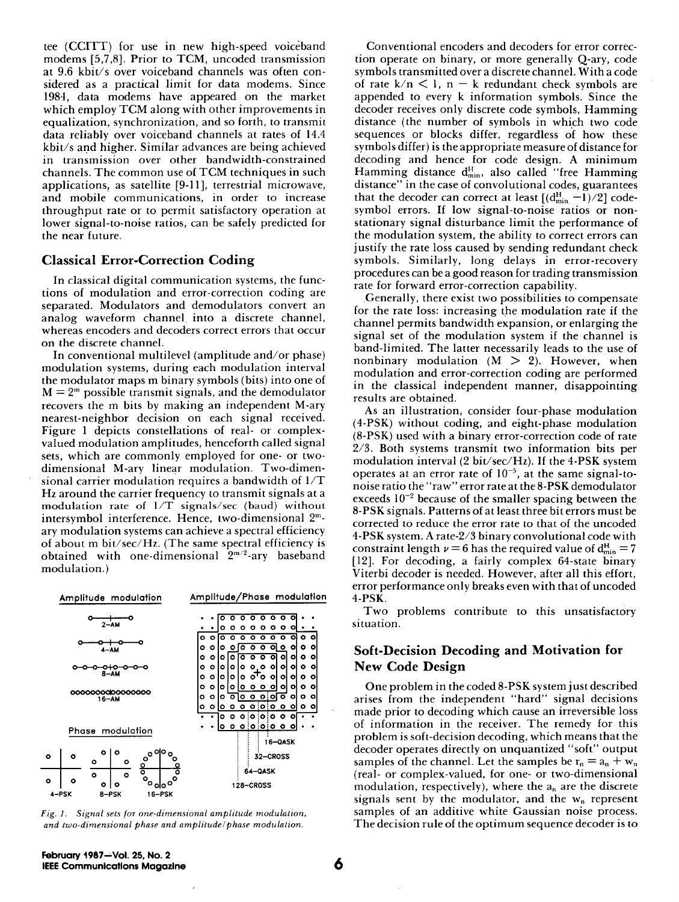tee (CCITT) for use in new high-speed voiceband modems [5,7,8]. Prior to TCM, uncoded transmission at 9.6 kbit/s over voiceband channels was often considered as a practical limit for data modems. Since 1984, data modems have appeared on the market which employ TCM along with other improvements in equalization, synchronization, and so forth, to transmit data reliably over voiceband channels at rates of 14.4 kbit/s and higher. Similar advances are being achieved in transmission over other bandwidth-constrained channels. The common use **of** TCM techniques in such applications, as satellite [9-1 I], terrestrial microwave, and mobile communications, in order to increase throughput rate or to permit satisfactory operation at lower signal-to-noise ratios, can be safely predicted for the near future.

#### **Classical Error-Correction Coding**

In classical digital communication systems, the functions of modulation and error-correction coding are separated. Modulators and demodulators convert an analog waveform channel. into a discrete channel, whereas encoders and decoders correct errors that occur on the discrete channel.

In conventional multilevel (amplitude and/or phase) modulation systems, during each modulation interval the modulator maps m binary symbols (bits) into one of  $M = 2<sup>m</sup>$  possible transmit signals, and the demodulator recovers the m bits by making an independent M-ary nearest-neighbor decision on each signal received. Figure 1 depicts constellations of real- or complexvalued modulation amplitudes, henceforth called signal sets, which are commonly employed for one- or twodimensional M-ary linear modulation. Two-dimensional carrier modulation requires a bandwidth of 1/T Hz around the carrier frequency to transmit signals at a modulation **rate of** 1/T **signals/sec** (baud) without intersymbol interference. Hence, two-dimensional **2'"**  ary modulation systems can achieve a spectral efficiency of about m bit/sec/Hz. (The same spectral efficiency is obtained with one-dimensional 2m/2-ary baseband modulation.) hich are commonly employ<br>
ional M-ary linear modul<br>
carrier modulation requires<br>
und the carrier frequency to<br>
ation rate of  $1/T$  signals/<br>
mbol interference. Hence, the<br>
dulation systems can achieve<br>
ed with one-dimensio



*Fig. 1. Signal sefs* for *one-dimensional amplifude modulation, and two-dimensional phase and ampliiudelphase modulaiion.* 

Conventional encoders and decoders for error correction operate on binary, or more generally Q-ary, code symbols transmitted over a discrete channel. With a code of rate  $k/n < 1$ , n - k redundant check symbols are appended to every k information symbols. Since the decoder receives only discrete code symbols, Hamming distance (the number of symbols in which two code sequences or blocks differ, regardless of how these symbols differ) is the appropriate measure **of** distance for decoding and hence for code design. **A** minimum Hamming distance  $d_{min}^H$ , also called "free Hamming distance" in the case **of** convolutional codes, guarantees that the decoder can correct at least  $[(d_{\min}^H -1)/2]$  codesymbol errors. If low signal-to-noise ratios or nonstationary signal disturbance limit the performance of the modulation system, the ability to correct errors can justify the rate loss caused by sending redundant check symbols. Similarly, long delays in error-recovery procedures can be a good reason for trading transmission rate for forward error-correction capability.

Generally, there exist two possibilities to compensate for the rate loss: increasing the modulation rate if the channel permits bandwidth expansion, or enlarging the signal set of the modulation system if the channel is band-limited. The latter necessarily leads to the use of nonbinary modulation  $(M > 2)$ . However, when modulation and error-correction coding are performed in the classical independent manner, disappointing results are obtained.

**As** an illustration, consider four-phase modulation (4-PSK) without coding, and eight-phase modulation (8-PSK) used with a binary error-correction code of rate 2/3. Both systems transmit two information bits per modulation interval (2 bit/sec/Hz). If the 4-PSK system operates at an error rate of  $10^{-5}$ , at the same signal-tonoise ratio the "raw" error rate at the 8-PSK demodulator exceeds  $10^{-2}$  because of the smaller spacing between the 8-PSK signals. Patterns of at least three bit errors must be corrected to reduce the error rate to that **of** the uncoded 4-PSK system. **A** rate-2/3 binary convolutional code with constraint length  $\nu = 6$  has the required value of  $d_{\min}^H = 7$ [12]. For decoding, a fairly complex 64-state binary Viterbi decoder is needed. However, after all this effort, error performance only breaks even with that of uncoded 4-PSK.

Two problems contribute to this unsatisfactory situation.

## **Soft-Decision Decoding and Motivation for New Code Design**

One problem in the coded 8-PSK system just described arises from the independent "hard" signal decisions made prior to decoding which cause an irreversible loss of information in the receiver. The remedy for this problem is soft-decision decoding, which means that the decoder operates directly on unquantized "soft" output samples of the channel. Let the samples be  $r_n = a_n + w_n$ (real- or complex-valued, for one- or two-dimensional modulation, respectively), where the  $a_n$  are the discrete signals sent by the modulator, and the  $w_n$  represent samples of an additive white Gaussian noise process. The decision rule of the optimum sequence decoder is to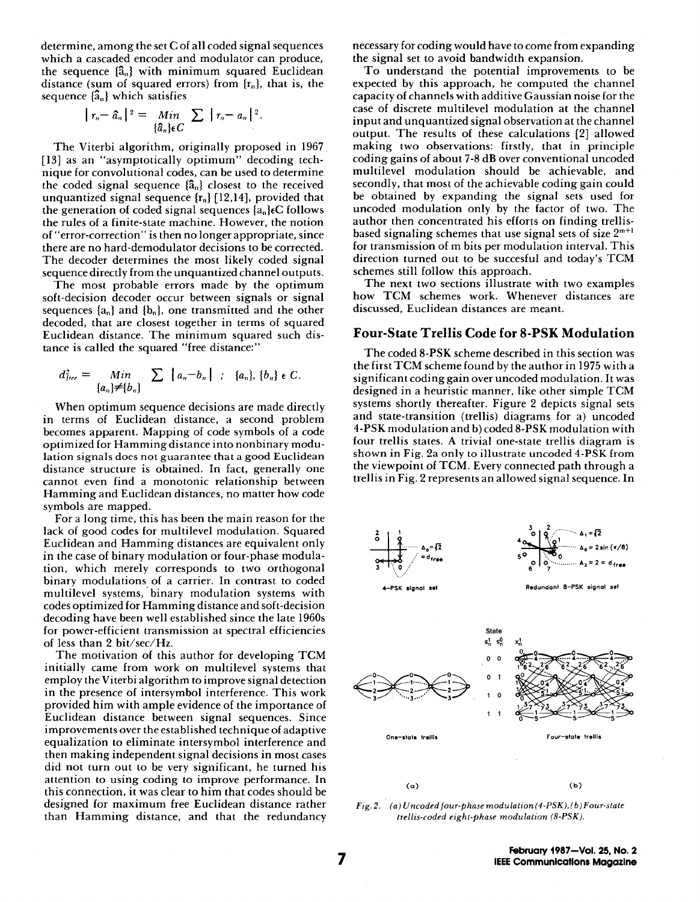determine, among the set C of all coded signal sequences which a cascaded encoder and modulator can produce, the sequence  $\{\hat{a}_n\}$  with minimum squared Euclidean distance (sum of squared errors) from  $\{r_n\}$ , that is, the sequence  $\{\hat{a}_n\}$  which satisfies

$$
|r_n-\hat{a}_n|^2=\lim_{\{\hat{a}_n\}\in C}\sum |r_n-a_n|^2.
$$

The Viterbi algorithm, originally proposed in 1967 [13] as an "asymptotically optimum" decoding technique for convolutional codes, can be used to determine the coded signal sequence  $\{\hat{a}_n\}$  closest to the received unquantized signal sequence  $\{r_n\}$  [12,14], provided that the generation of coded signal sequences  ${a_n}$ } $\epsilon$ C follows the rules of a finite-state machine. However, the notion of "error-correction" is then no longer appropriate, since there are no hard-demodulator decisions to be corrected. The decoder determines the most likely coded signal sequence directly from the unquantized channel outputs.

The most probable errors made by the optimum soft-decision decoder occur between signals or signal sequences  ${a_n}$  and  ${b_n}$ , one transmitted and the other decoded, that are closest together in terms of squared Euclidean distance. The minimum squared such distance is called the squared "free distance:"

$$
d_{free}^{2} = \min_{\{a_{n}\}\neq\{b_{n}\}} \sum |a_{n}-b_{n}| ; \ \{a_{n}\}, \{b_{n}\} \in C.
$$

When optimum sequence decisions are made directly in terms of Euclidean distance, a second problem becomes apparent. Mapping of code symbols of a code optimized for Hamming distance into nonbinary modulation signals does not guarantee that a good Euclidean distance structure is obtained. In fact, generally one cannot even find a monotonic relationship between Hamming and Euclidean distances, no matter how code symbols are mapped.

For a long time, this has been the main reason for the lack of good codes for multilevel modulation. Squared Euclidean and Hamming distances are equivalent only in the case of binary modulation or four-phase modulation, which merely corresponds to two orthogonal binary modulations of a carrier. In contrast to coded multilevel systems, binary modulation systems with codes optimized for Hammingdistance and soft-decision decoding have been well established since the late 1960s for power-efficient transmission at spectral efficiencies of less than 2 bit/sec/Hz.

The motivation of this author for developing TCM initially came from work on multilevel systems that employ the Viterbi algorithm to improve signal detection in the presence of intersymbol interference. This work provided him with ample evidence of the importance of Euclidean distance between signal sequences. Since improvements over the established technique of adaptive equalization to eliminate intersymbol interference and then making independent signal decisions in most cases did not turn out to be very significant, he turned his attention to using coding to improve performance. In this connection, it was clear to him that codes should be designed for maximum free Euclidean distance rather than Hamming distance, and that the redundancy necessary for coding would have to come from expanding the signal set to avoid bandwidth expansion.

To understand the potential improvements to be expected by this approach, he computed the channel capacity of channels with additive Gaussian noise for the case of discrete multilevel modulation at the channel input and unquantized signal observation at the channel output. The results of these calculations [2] allowed making two observations: firstly, that in principle coding gains of about 7-8 dB over conventional uncoded multilevel modulation should be achievable, and secondly, that most of the achievable coding gain could be obtained by expanding the signal sets used for uncoded modulation only by the factor of two. The author then concentrated his efforts on finding trellisbased signaling schemes that use signal sets of size  $2^{m+1}$ for transmission of m bits per modulation interval. This direction turned out to be succesful and today's TCM schemes still follow this approach.

The next two sections illustrate with two examples how TCM schemes work. Whenever distances are discussed, Euclidean distances are meant.

#### **Four-State Trellis Code for 8-PSK Modulation**

The coded 8-PSK scheme described in this section was the first TCM scheme found by the author in 1975 with a significant coding gain over uncoded modulation. It was designed in a heuristic manner, like other simple TCM systems shortly thereafter. Figure **2** depicts signal sets and state-transition (trellis) diagrams for a) uncoded 4-PSK modulation and b) coded 8-PSK modulation with four trellis states. **A** trivial one-state trellis diagram is shown in **Fig.** 2a only to illustrate uncoded **4-PSK** from the viewpoint of TCM. Every connected path through a trellis in Fig. **2** represents an allowed signal sequence. In



*Fig. 2. (a) Uncodedfour-phasemodulation(4-PSK),(b)Four-siale trellis-coded eighi-phase modulaiion (8-PSK).*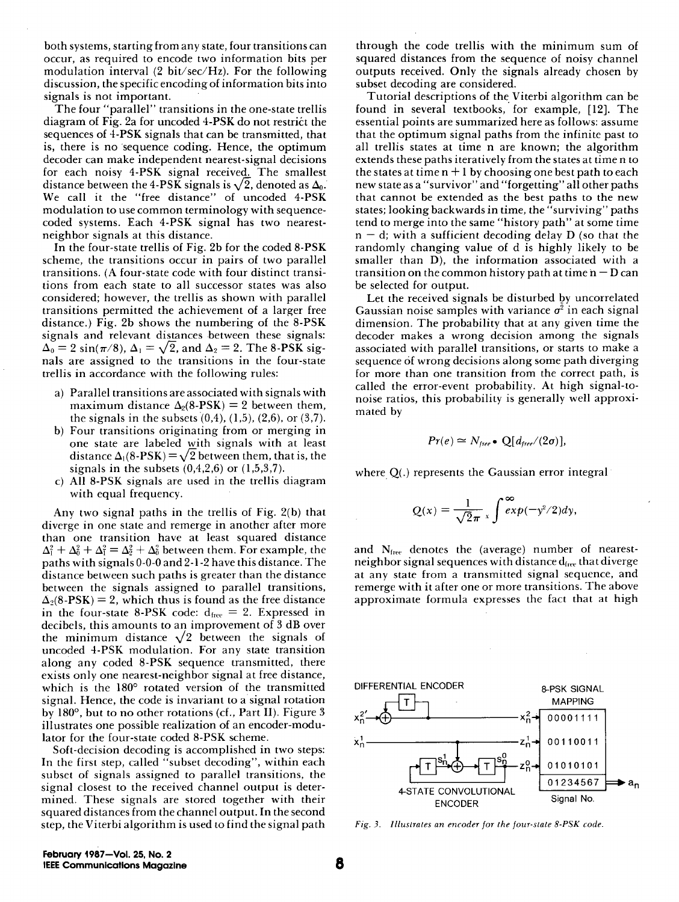both systems, starting from any state, four transitions can occur, as required to encode two information bits per modulation interval (2 bit/sec/Hz). For the following discussion, the specific encoding of information bits into signals is not important.

The four "parallel" transitions in the one-state trellis diagram of Fig. 2a for uncoded 4-PSK do not restrict the sequences of 4-PSK signals that can be transmitted, that is, there is no 'sequence coding. Hence, the optimum decoder can make independent nearest-signal decisions for each noisy 4-PSK signal received. The smallest distance between the 4-PSK signals is  $\sqrt{2}$ , denoted as  $\Delta_0$ . We call it the "free distance" of uncoded 4-PSK modulation to use common terminology with sequencecoded systems. Each 4-PSK signal has two nearestneighbor signals at this distance.

In the four-state trellis of Fig. 2b for the coded 8-PSK scheme, the transitions occur in pairs of two parallel transitions. (A four-state code with four distinct transitions from each state to all successor states was also considered; however, the trellis as shown with parallel transitions permitted the achievement of a larger free distance.) Fig. 2b shows the numbering of the 8-PSK signals and relevant distances between these signals:  $\Delta_0 = 2 \sin(\pi/8), \Delta_1 = \sqrt{2}$ , and  $\Delta_2 = 2$ . The 8-PSK signals are assigned to the transitions in the four-state trellis in accordance with the following rules:

- a) Parallel transitions are associated with signals with maximum distance  $\Delta_2(8-PSK) = 2$  between them, the signals in the subsets  $(0,4)$ ,  $(1,5)$ ,  $(2,6)$ , or  $(3,7)$ .
- b) Four transitions originating from or merging in one state are labeled with signals with at least distance  $\Delta_1(8-PSK) = \sqrt{2}$  between them, that is, the signals in the subsets  $(0,4,2,6)$  or  $(1,5,3,7)$ .
- c) All 8-PSK signals are used in the trellis diagram with equal frequency.

Any two signal paths in the trellis of Fig. 2(b) that diverge in one state and remerge in another after more than one transition have at least squared distance  $\Delta_1^2 + \Delta_0^2 + \Delta_1^2 = \Delta_2^2 + \Delta_0^2$  between them. For example, the paths with signals 0-0-0 and2-1-2 have this distance. The distance between such paths is greater than the distance between the signals assigned to parallel transitions,  $\Delta_2(8-PSK) = 2$ , which thus is found as the free distance in the four-state 8-PSK code:  $d_{free} = 2$ . Expressed in decibels, this amounts to an improvement of 3 dB over the minimum distance  $\sqrt{2}$  between the signals of uncoded 1-PSK modulation. For any state transition along any coded 8-PSK sequence transmitted, there exists only one nearest-neighbor signal at free distance, which is the 180° rotated version of the transmitted signal. Hence, the code is invariant to a signal rotation by 180", but to no other rotations (cf., Part 11). Figure **3**  illustrates one possible realization of an encoder-modulator for the four-state coded 8-PSK scheme.

Soft-decision decoding is accomplished in two steps: In the first step, called "subset decoding", within each subset of signals assigned to parallel transitions, the signal closest to the received channel output is determined. These signals are stored together with their squared distances from the channel output. In the second step, the Viterbi algorithm is used to find the signal path

through the code trellis with the minimum sum of squared distances from the sequence of noisy channel outputs received. Only the signals already chosen by subset decoding are considered.

Tutorial descriptions of the, Viterbi algorithm can be found in several textbooks, for example, [12]. The essential points are summarized here as follows: assume that the optimum signal paths from the infinite past to all trellis states at time n are known; the algorithm extends these paths iteratively from the states at time n to the states at time  $n + 1$  by choosing one best path to each new state as a "survivor" and "forgetting" all other paths that cannot be extended as the best paths to the new states; looking backwards in time, the "surviving" paths tend to merge into the same "history path" at some time <sup>n</sup>- d; with a sufficient decoding delay D (so that the randomly changing value of d is highly likely to be smaller than  $\overline{D}$ ), the information associated with a transition on the common history path at time  $n - D$  can be selected for output.

Let the received signals be disturbed by uncorrelated Gaussian noise samples with variance  $\sigma^2$  in each signal dimension. The probability that at any given time the decoder makes a wrong decision among the signals associated with parallel transitions, or starts to make a sequence of wrong decisions along some path diverging for more than one transition from the correct path, is called the error-event probability. At high signal-tonoise ratios, this probability is generally well approximated by

$$
Pr(e) \simeq N_{free} \bullet Q[d_{free}/(2\sigma)],
$$

where  $Q(.)$  represents the Gaussian error integral

$$
Pr(e) \simeq N_{free} \bullet Q[d_{free}/(2\sigma)],
$$
  
represents the Gaussian error in  

$$
Q(x) = \frac{1}{\sqrt{2}\pi} \int_{-\infty}^{\infty} exp(-y^2/2) dy,
$$

and N<sub>free</sub> denotes the (average) number of nearestneighbor signal sequences with distance  $d_{\text{free}}$  that diverge at any state from a transmitted signal sequence, and remerge with it after one or more transitions. The above approximate formula expresses the fact that at high



*Fig. 3. Illushales an encoder for the four-slate 8-PSK code*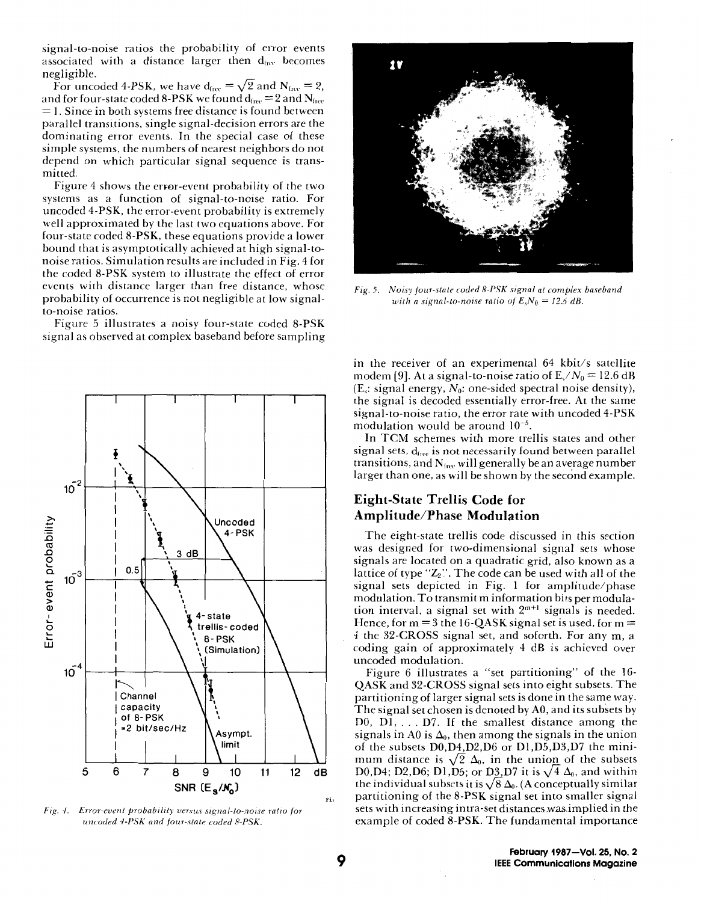signal-to-noise ratios the probability of error events associated with a distance larger then  $d_{\text{free}}$  becomes negligible.

For uncoded 4-PSK, we have  $d_{\text{free}} = \sqrt{2}$  and  $N_{\text{free}} = 2$ , and for four-state coded 8-PSK we found  $d_{\text{free}} = 2$  and  $N_{\text{free}}$  $=$  1. Since in both systems free distance is found between parallel transitions, single signal-decision errors are the dominating error events. In the special case of these simple systems, the numbers of nearest neighbors do not depend on which particular signal sequence is transmitted.

Figure 4 shows the error-event probability of the two systems as a function of signal-to-noise ratio. For uncoded 4-PSK, the error-event probability is extremely well approximated by the last two equations above. For four-state coded 8-PSK, these equations provide a lower bound that is asymptotically achieved at high signal-tonoise ratios. Simulation results are included in Fig. 4 for the coded 8-PSK system to illustrate the effect of error probability of occurrence is not negligible at low signal-<br>*uith a signal-to-noise ratio of E<sub>N</sub>N<sub>0</sub> = 12.6 dB.* to-noise ratios.

Figure 5 illustrates a noisy four-state coded 8-PSK signal as observed at complex baseband before sampling



*FIg. 4. Error-even! probnbrlrly ver.src.c srgnal-lo-norse rulro* for *uncoded 4-PSK nnd four-sinie coded R-PSR.* 



 $Fig. 5.$  *Noisy four-state coded 8-PSK signal at complex baseband* 

ded 8-PSK<br>
e sampling<br>
in the receiver<br>
modem [9]. At a<br>
(E<sub>s</sub>: signal energ<br>
the signal is dec<br>
signal-to-noise in<br>
modulation would be modulation would be the TCM sche in the receiver of an experimental 64 kbit/s satellite modem [9]. At a signal-to-noise ratio of  $E_{\rm s}/N_0 = 12.6$  dB (E,: signal energy, *No:* one-sided spectral noise density), the signal is decoded essentially error-free. At the same signal-to-noise ratio, the error rate with uncoded 4-PSK modulation would be around  $10^{-5}$ .

In TCM schemes with more trellis states and other signal sets,  $d_{\text{free}}$  is not necessarily found between parallel transitions, and N<sub>free</sub> will generally be an average number larger than one, as will be shown by the second example.

# **Eight-State Trellis Code for Amplitude/Phase Modulation**

The eight-state trellis code discussed in this section was designed for two-dimensional signal sets whose signals are located on a quadratic grid, also known as a lattice of type *"22".* The code can be used with all of the signal sets depicted in Fig. 1 for amplitude/phase modulation. To transmit m information bits per modulation interval, a signal set with  $2^{m+1}$  signals is needed. Hence, for  $m = 3$  the 16-QASK signal set is used, for  $m =$ 4 the 32-CROSS signal set, and soforth. For any m, a coding gain of approximately 4 dB is achieved over uncoded modulation.

Figure 6 illustrates a "set partitioning" of the **16-**  QASK and 32-CROSS signal sets into eight subsets. The partitioning of larger signal sets is done in the same way. The signal set chosen is denoted by AO, and its subsets by DO, Dl, . . . D7. If the smallest distance among the signals in A0 is  $\Delta_0$ , then among the signals in the union of the subsets DO,D4,D2,D6 or Dl,D5,D3,D7 the minisignals in A0 is  $\Delta_0$ , then among the signals in the union<br>of the subsets D0, D4, D2, D6 or D1, D5, D3, D7 the mini-<br>mum distance is  $\sqrt{2}$   $\Delta_0$ , in the union of the subsets mum distance is  $\sqrt{2} \Delta_0$ , in the union of the subsets<br>D0,D4; D2,D6; D1,D5; or D3,D7 it is  $\sqrt{4} \Delta_0$ , and within D0, D4; D2, D6; D1, D5; or D3, D7 it is  $\sqrt{4} \Delta_0$ , and within the individual subsets it is  $\sqrt{8} \Delta_0$ . (A conceptually similar partitioning of the 8-PSK signal set into smaller signal sets with increasing intra-set distances was implied in the example of coded 8-PSK. The fundamental importance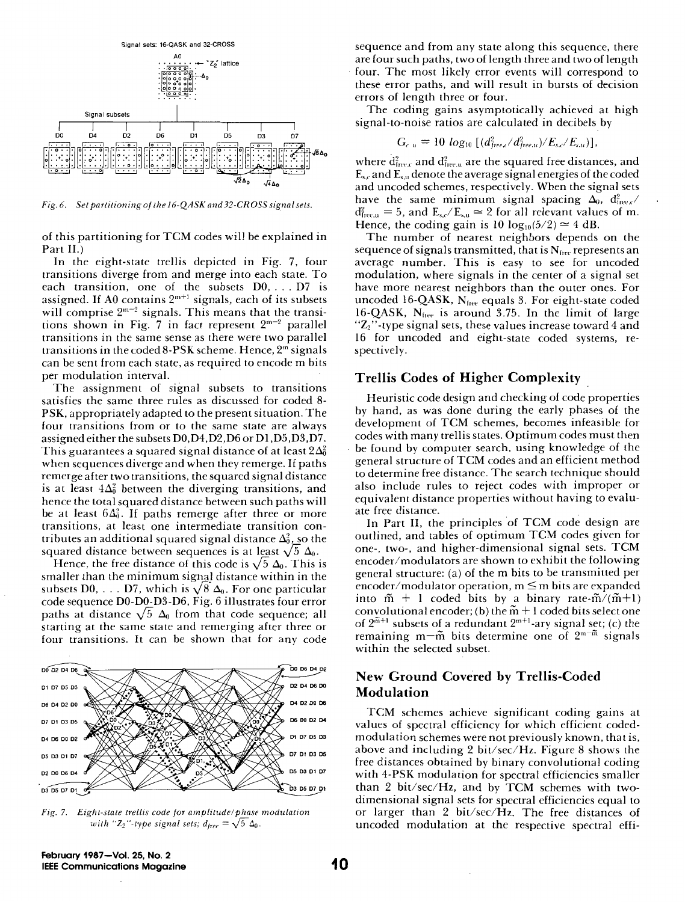

*Fig.6.* Set partitioning of the 16-QASK and 32-CROSS signal sets.

of this partitioning for TCM codes will be explained in Part II.)

In the eight-state trellis depicted in Fig. **7,** four transitions diverge from and merge into each state. To each transition, one of the subsets **DO,** . . . **D7** is assigned. If A0 contains  $2^{m+1}$  signals, each of its subsets will comprise  $2^{m-2}$  signals. This means that the transitions shown in Fig. 7 in fact represent  $2^{m-2}$  parallel transitions in the same sense as there were two parallel transitions in the coded 8-PSK scheme. Hence, 2'" signals can be sent from each state, as required to encode m bits per modulation interval.

The assignment of signal subsets to transitions satisfies the same three rules as discussed for coded 8- PSK, appropriately adapted to the present situation. The four transitions from or to the same state are always assigned either the subsets **DO,D4,D2,D6** or **Dl ,D5,D3,D7.**  This guarantees a squared signal distance of at least  $2\Delta_0^2$ when sequences diverge and when they remerge. If paths remerge after two transitions, the squared signal distance is at least  $4\Delta_0^2$  between the diverging transitions, and hence the total squared distance between such paths will be at least  $6\Delta_0^2$ . If paths remerge after three or more transitions, at least one intermediate transition contributes an additional squared signal distance  $\Delta_0^2$ , so the squared distance between sequences is at least  $\sqrt{5} \Delta_0$ .

Hence, the free distance of this code is  $\sqrt{5} \Delta_0$ . This is smaller than the minimum signal distance within in the subsets D0, . . . D7, which is  $\sqrt{8} \Delta_0$ . For one particular code sequence **DO-DO-D3-D6,** Fig. 6 illustrates four error paths at distance  $\sqrt{5} \Delta_0$  from that code sequence; all starting at the same state and remerging after three or four transitions. It can be shown that for any code



*Fzg. 7. Eight-stale frellis code* **for** *nmplitudelphnse modulation with* " $Z_2$ "-type signal sets;  $d_{\text{free}} = \sqrt{5} \Delta_0$ .

sequence and from any state along this sequence, there are four such paths, two of length three and two of length four. The most likely error events will correspond to these error paths, and will result in bursts of decision errors of length three or four.

The coding gains asymptotically achieved at high signal-to-noise ratios are calculated in decibels by

$$
G_{c,u}=10 log_{10} [(d_{free,c}^2/d_{free,u}^2)/E_{s,c}/E_{s,u})],
$$

where  $d_{free,c}^2$  and  $d_{free,u}^2$  are the squared free distances, and  $E_{s,c}$  and  $E_{s,u}$  denote the average signal energies of the coded and uncoded schemes, respectively. When the signal sets have the same minimum signal spacing  $\Delta_0$ ,  $d_{\text{free,c}}^2$  $d_{free,u}^2 = 5$ , and  $E_{s,c}/E_{s,u} \approx 2$  for all relevant values of m. Hence, the coding gain is 10  $log_{10}(5/2) \approx 4$  dB.

The number of nearest neighbors depends on the sequence of signals transmitted, that is  $N<sub>free</sub>$  represents an average number. This is easy to see for uncoded modulation, where signals in the center of a signal set have more nearest neighbors than the outer ones. For uncoded 16-QASK, N<sub>free</sub> equals 3. For eight-state coded 16-QASK, N<sub>tree</sub> is around 3.75. In the limit of large "Z,"-type signal sets, these values increase toward **4** and 16 for uncoded and eight-state coded systems, respectively.

#### **Trellis Codes of Higher Complexity**

Heuristic code design and checking of code properties by hand, as was done during the early phases of the development of TCM schemes, becomes infeasible for codes with many trellis states. Optimum codes must then be found by computer search, using knowledge of the general structure of TCM codes and an efficient method to determine free distance. The search technique should also include rules to reject codes with improper or equivalent distance properties without having to evaluate free distance.

In Part 11, the principles of TCM code design are outlined, and tables of optimum TCM codes given for one-, two-, and higher-dimensional signal sets. TCM encoder/modulators are shown to exhibit the following general structure: (a) of the m bits to be transmitted per one-, two-, and higher-dimensional signal sets. TCM<br>encoder/modulators are shown to exhibit the following<br>general structure: (a) of the m bits to be transmitted per<br>encoder/modulator operation, m  $\leq$  m bits are expanded encoder/modulator operation,  $m \le m$  bits are expanded<br>into  $\tilde{m} + 1$  coded bits by a binary rate- $\tilde{m}/(\tilde{m}+1)$ convolutional encoder; (b) the  $\tilde{m}$  + 1 coded bits select one  $\frac{1}{2^{m+1}}$  subsets of a redundant  $2^{m+1}$ -ary signal set; (c) the remaining m- $\tilde{m}$  bits determine one of  $2^{m-\tilde{m}}$  signals within the selected subset.

## **New Ground Covered by Trellis-Coded Modulation**

TCM schemes achieve significant coding gains at values of spectral efficiency for which efficient codedmodulation schemes were not previously known, that is, above and including 2 bit/sec/Hz. Figure 8 shows the free distances obtained by binary convolutional coding with 4-PSK modulation for spectral efficiencies smaller than 2 bit/sec/Hz, and by TCM schemes with twodimensional signal sets for spectral efficiencies equal to or larger than 2 bit/sec/Hz. The free distances of uncoded modulation at he respective spectral effi-